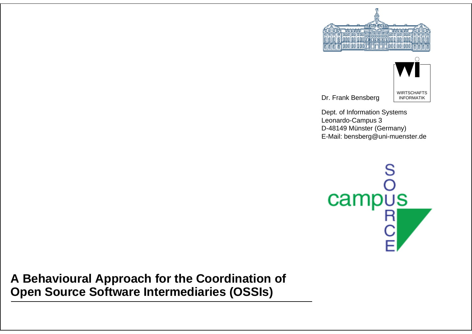



Dr. Frank Bensberg

Dept. of Information Systems Leonardo-Campus 3 D-48149 Münster (Germany) E-Mail: bensberg@uni-muenster.de



**A Behavioural Approach for the Coordination of Open Source Software Intermediaries (OSSIs)**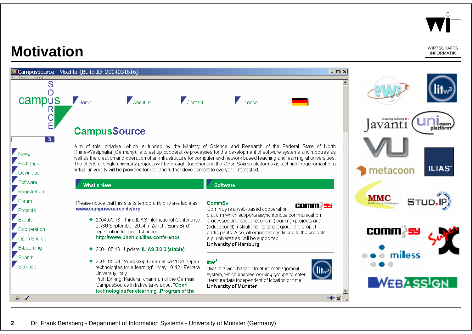

### **Motivation**

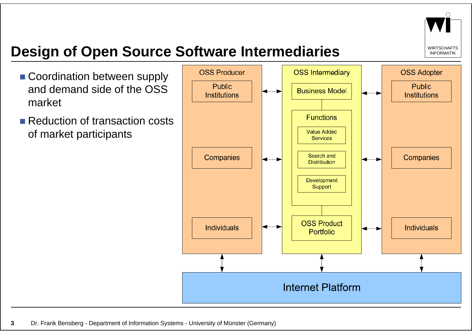

# **Design of Open Source Software Intermediaries**

- **Coordination between supply** and demand side of the OSS market
- **Reduction of transaction costs** of market participants

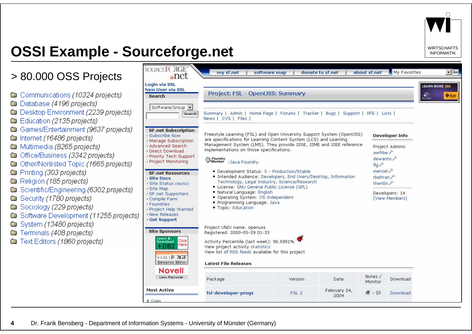

# **OSSI Example - Sourceforge.net** INFORMATIK

#### > 80.000 OSS Projects

- Communications (10324 projects)
- Database (4196 projects)
- Desktop Environment (2239 projects)
- **Education (2135 projects)**
- Games/Entertainment (9637 projects)
- Internet (16486 projects)
- Multimedia (8265 projects)
- Office/Business (3342 projects)
- Other/Nonlisted Topic (1665 projects)
- **Co** Printing (303 projects)
- Religion (185 projects)
- Scientific/Engineering (6302 projects)
- Security (1780 projects)
- Sociology (229 projects)
- Software Development (11255 project
- System (13480 projects)
- Terminals (408 projects)
- Text Editors (1860 projects)

| <b>New User via SSL</b><br><b>Search</b>                                                                         | Project: FSL - OpenUSS: Summary                                                                                                                                                                                                                                                                                                          |                                    |                      |                               |                                                                                                                                                         | <b>LEARN MORE &gt;&gt;&gt;</b><br><b>SOLARIS</b> |
|------------------------------------------------------------------------------------------------------------------|------------------------------------------------------------------------------------------------------------------------------------------------------------------------------------------------------------------------------------------------------------------------------------------------------------------------------------------|------------------------------------|----------------------|-------------------------------|---------------------------------------------------------------------------------------------------------------------------------------------------------|--------------------------------------------------|
| Software/Group +<br>Search                                                                                       | Summary   Admin   Home Page   Forums   Tracker   Bugs   Support   RFE   Lists  <br>News   CVS   Files                                                                                                                                                                                                                                    |                                    |                      |                               |                                                                                                                                                         |                                                  |
| <b>SF.net Subscription</b><br>· Subscribe Now<br>· Manage Subscription                                           | Freestyle Learning (FSL) and Open University Support System (OpenUSS)<br>are specifications for Learning Content System (LCS) and Learning<br>Management System (LMS). They provide J2SE, J2ME and J2EE reference<br>implementations on those specifications.                                                                            |                                    |                      |                               | <b>Developer Info</b>                                                                                                                                   |                                                  |
| · Advanced Search<br>· Direct Download<br>· Priority Tech Support                                                |                                                                                                                                                                                                                                                                                                                                          |                                    |                      |                               | Project Admins:<br>awfrbe $\mathcal{L}$<br>dewanto<br>flq <sup>少</sup><br>م menzel<br>rbeltran<br>theriūn $\hat{r}$<br>Developers: 14<br>[View Members] |                                                  |
| · Project Monitoring                                                                                             |                                                                                                                                                                                                                                                                                                                                          | S Foundry<br>Member : Java Foundry |                      |                               |                                                                                                                                                         |                                                  |
| <b>SF.net Resources</b><br>Site Docs                                                                             | • Development Status: 5 - Production/Stable<br>• Intended Audience: Developers, End Users/Desktop, Information<br>Technology, Legal Industry, Science/Research<br>• License: GNU General Public License (GPL)<br>· Natural Language: English<br>• Operating System: OS Independent<br>· Programming Language: Java<br>• Topic: Education |                                    |                      |                               |                                                                                                                                                         |                                                  |
| · Site Status (06/02)<br>· Site Map                                                                              |                                                                                                                                                                                                                                                                                                                                          |                                    |                      |                               |                                                                                                                                                         |                                                  |
| · SF.net Supporters<br>· Compile Farm<br>· Foundries<br>· Project Help Wanted<br>· New Releases<br>· Get Support |                                                                                                                                                                                                                                                                                                                                          |                                    |                      |                               |                                                                                                                                                         |                                                  |
| <b>Site Sponsors</b>                                                                                             | Project UNIX name: openuss.<br>Registered: 2000-05-29 01:33                                                                                                                                                                                                                                                                              |                                    |                      |                               |                                                                                                                                                         |                                                  |
| Learn &<br>Click<br><b>Download</b><br>Here<br>DB <sub>2</sub>                                                   | Activity Percentile (last week): 90.5981%<br>View project activity statistics<br>View list of RSS feeds available for this project                                                                                                                                                                                                       |                                    |                      |                               |                                                                                                                                                         |                                                  |
| SOURCE <b>FC RGE</b>                                                                                             | <b>Latest File Releases</b>                                                                                                                                                                                                                                                                                                              |                                    |                      |                               |                                                                                                                                                         |                                                  |
| <b>Enterprise Edition</b>                                                                                        |                                                                                                                                                                                                                                                                                                                                          |                                    |                      |                               |                                                                                                                                                         |                                                  |
| <b>Novell</b><br>Linux Resources                                                                                 | Package                                                                                                                                                                                                                                                                                                                                  | Version                            | Date                 | Notes /<br>Monitor            | Download                                                                                                                                                |                                                  |
| <b>Most Active</b>                                                                                               | fsl-developer-progs                                                                                                                                                                                                                                                                                                                      | FSL <sub>3</sub>                   | February 24,<br>2004 | $\mathcal{Q}$ - $\varnothing$ | Download                                                                                                                                                |                                                  |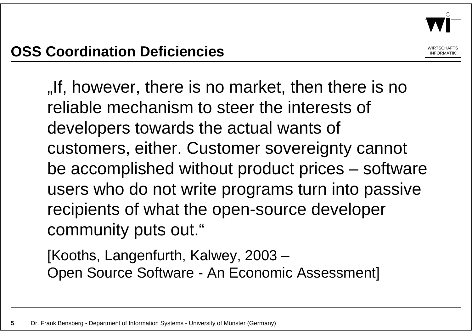If, however, there is no market, then there is no. reliable mechanism to steer the interests of developers towards the actual wants of customers, either. Customer sovereignty cannot be accomplished without product prices – software users who do not write programs turn into passive recipients of what the open-source developer community puts out."

[Kooths, Langenfurth, Kalwey, 2003 – Open Source Software - An Economic Assessment]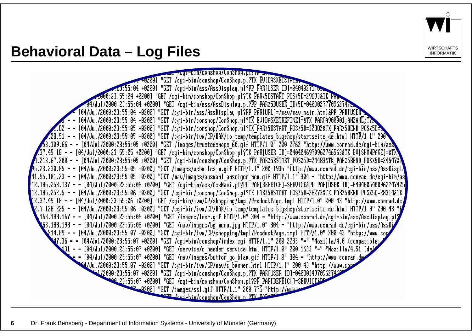

#### **Behavioral Data – Log Files** Internative and the *MIRTSCHAFTI*K

70y1-bln/conshop/ConShop.plg.p "GET /cgi-bin/conshop/ConShop.pl?TK EU[BASKETSTHIL] :04 +0200] "GET /cgi-bin/ass/AssDisplay.pl?PP PAR[USER ID]=04040271re 23:55:04 +0200] "GET /cgi-bin/conshop/ConShop.pl?TK PAR%5BSTART POS%5D=29693&TK PHr 104/Jul/2000:23:55:04 +0200] "GET /cgi-bin/ass/AssDisplay.pl?PP PAR%5BUSER ID%5D=04030277709627472 [04/Jul/2000:23:55:04 +0200] "GET /cgi-bin/ass/AssDisplay.pl?PP PĀR[URL]=/nav/nav main.html&PP PAR[USEK [04/Jul/2000:23:55:04 +0200] "GET /cgi-bin/conshop/ConShop.pl?TK EV[BASKETREFINE]=&TK PAR[A900001;ANZAHL;TYP [04/Jul/2000:23:55:05 +0200] "GET /cgi-bin/conshop/ConShop.pl?TK\_PAR%5BSTART\_POS%5D=32882&TK\_PAR%5BEND\_POS%5D= 28.51 - - [04/Jul/2000:23:55:05 +0200] "GET /cgi-bin/ivw/CP/BAK/io temp/templates bigshop/startseite de.html HTTP/1.1" 200" .<br>3.109.66 - - [04/Jul/2000:23:55:05 +0200] "GET /images/trustedshops 60.gif HTTP/1.0" 200 2762 "http://www.conrad.de/cgi-bin/ass 37.49.18 - - [04/Jul/2000:23:55:05 +0200] "GET /cgi-bin/conshop/ConShop.pI?TK PAR[USER ID]=0404046970962746563&TK EV[SHOWPAGE]=&TK 245478\_213.67.200 - - [04/Jul/2000:23:55:05 +0200] "GET /cgi-bin/conshop/ConShop.pl?TK PAR%5BSTART POS%5D=24483&TK PAR%5BEND POS%5D=24547. <del>,19123,230.85 - - [04/Jul/2000:23:55:05 +0200]</del> "GET /images/webmiles w.gif HTTP/1.1" 200 1935 "http://www.conrad.de/cgi-bin/ass/AssDispl 41.55.101.23 – – [04/Jul/2000:23:55:05 +0200] "GET /nav/images/auswāhl anzeigen neu.gif HTTP/1.1" 304 – "http://www.conrad.de/cgi-bin/as 212.185.253.137 - - [04/Jul/2000:23:55:06 +0200] "GET /cgi-bin/ass/AssNavi.pl?PP¯PAR[BEREICH]=SERVICE&PP PAR[USER ID]=0404005400962747425' 12.185.252.5 - - [04/Jul/2000:23:55:06 +0200] "GET /cgi-bin/conshop/ConShop.pl?TK PAR%5BSTART POS%5D=28Z73&TK PAR%5BEND POS%5D=28314&TK| 12.37.49.18 - - [04/Jul/2000:23:55:06 +0200] "GET /cgi-bin/ivw/CP/shopping/tmpl/ProductPage.tmpl HTTP/1.0" 200 43 "http://www.conrad.de 2.7.128.225 - - [04/Jul/2000:23:55:06 +0200] "GET /cgi-bin/ivw/CP/BAK/io temp/templates bigshop/startseite de.html HTTP/1.0" 200 43\_ .163.188.167 - - [04/Jul/2000:23:55:06 +0200] "GET /images/leer.gif HTTP/1.0" 304 - "http://www.conrad.de/cgi-bin/ass/AssDisplay.pl 63.188.198 - - [04/Jul/2000:23:55:06 +0200] "GET /nav/images/bg menu.jpg HTTP/1.0" 304 - "http://www.conrad.de/cgi-bin/ass/AssDi وكا 214.89 - - [04/Jul/2000:23:55:07 +0200] "GET /cgi-bin/ivw/CP/shopping/tmpl/ProductPage.tmpl HTTP/1.0" 200 43 "http://www.com 47.36 - - [04/Jul/2000:23:55:07 +0200] "GET /cgi-bin/conshop/index.cgi HTTP/1.1" 200 2233 "-" "Mozilla/4.0 (compatible; 131 - - [04/Jul/2000:23:55:07 +0200] "GET /service/c header service.html HTTP/1.0" 200 1633 "-" "Mozilla/4.51 [de - [04/Jul/2000:23:55:07 +0200] "GET /nav/images/button go blau.gif HTTP/1.0" 304 - "http://www.conrad.de 04/Jul/2000:23:55:07 +0200] "GET /cgi-bin/ivw/CP/nav/c banner.html HTTP/1.1" 200 43 "http://www.com 1/2000:23:55:07 +0200] "GET /cgi-bin/conshop/Conshop.pl?TK PAR[USER ID]=04080349709627469 00.23:55:07 +0200] "GET /cgi-bin/conshop/ConShop.pl?PP PAR[BEREICH]=SERVICE2PP <u>+9200]</u> "GET /images/ssl.gif HTTP/1.1" 200 776 "http://www Pr Legi-hin/conshop/ConShon.nl?TV DAP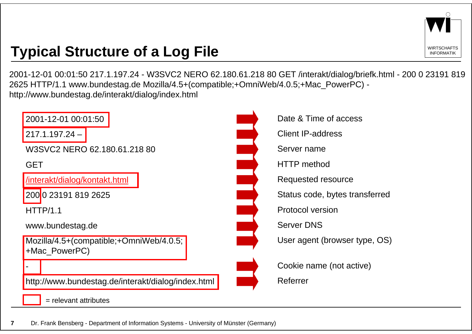

# **Typical Structure of a Log File** Interaction and the Informatik

2001-12-01 00:01:50 217.1.197.24 - W3SVC2 NERO 62.180.61.218 80 GET /interakt/dialog/briefk.html - 200 0 23191 819 2625 HTTP/1.1 www.bundestag.de Mozilla/4.5+(compatible;+OmniWeb/4.0.5;+Mac\_PowerPC) http://www.bundestag.de/interakt/dialog/index.html

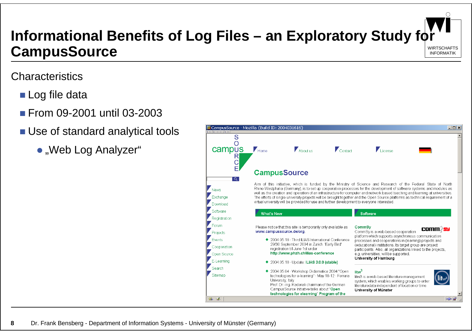

# **Informational Benefits of Log Files – an Exploratory Study for CampusSource**

#### **Characteristics**

- Log file data
- From 09-2001 until 03-2003
- **Use of standard analytical tools** 
	- "Web Log Analyzer"

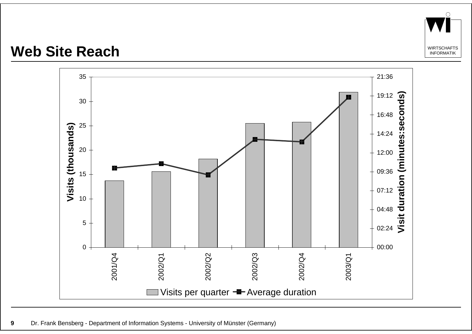

#### Web Site Reach

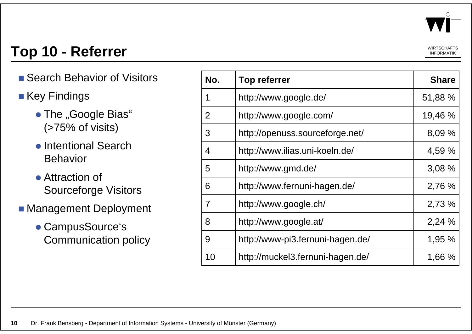

# **Top 10 - Referrer** Informatik

- Search Behavior of Visitors
- $\blacksquare$  Key Findings
	- The "Google Bias" (>75% of visits)
	- Intentional Search Behavior
	- Attraction of Sourceforge Visitors
- Management Deployment
	- CampusSource's Communication policy

| No.            | <b>Top referrer</b>              | <b>Share</b> |
|----------------|----------------------------------|--------------|
| 1              | http://www.google.de/            | 51,88 %      |
| $\overline{2}$ | http://www.google.com/           | 19,46 %      |
| 3              | http://openuss.sourceforge.net/  | 8,09 %       |
| 4              | http://www.ilias.uni-koeln.de/   | 4,59 %       |
| 5              | http://www.gmd.de/               | 3,08 %       |
| 6              | http://www.fernuni-hagen.de/     | 2,76 %       |
| 7              | http://www.google.ch/            | 2,73 %       |
| 8              | http://www.google.at/            | 2,24 %       |
| 9              | http://www-pi3.fernuni-hagen.de/ | 1,95 %       |
| 10             | http://muckel3.fernuni-hagen.de/ | 1,66 %       |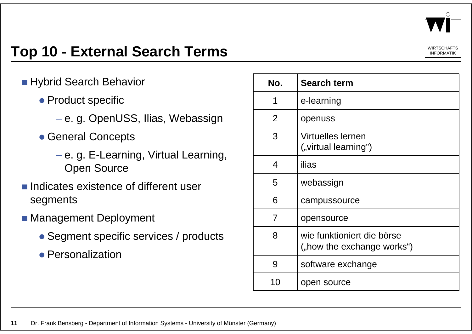

# **Top 10 - External Search Terms** IN Alternative **INFORMATIK**

- **Hybrid Search Behavior** 
	- Product specific
		- $-$  e. g. OpenUSS, Ilias, Webassign
	- General Concepts
		- e. g. E-Learning, Virtual Learning, Open Source
- **Indicates existence of different user** segments
- **Management Deployment** 
	- Segment specific services / products
	- Personalization

| No.            | <b>Search term</b>                                       |
|----------------|----------------------------------------------------------|
| 1              | e-learning                                               |
| 2              | openuss                                                  |
| 3              | <b>Virtuelles lernen</b><br>("virtual learning")         |
| 4              | ilias                                                    |
| 5              | webassign                                                |
| 6              | campussource                                             |
| $\overline{7}$ | opensource                                               |
| 8              | wie funktioniert die börse<br>("how the exchange works") |
| 9              | software exchange                                        |
| 10             | open source                                              |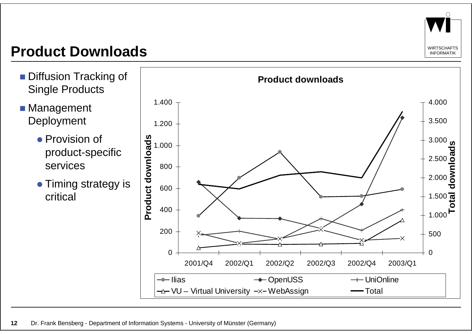

### **Product Downloads**

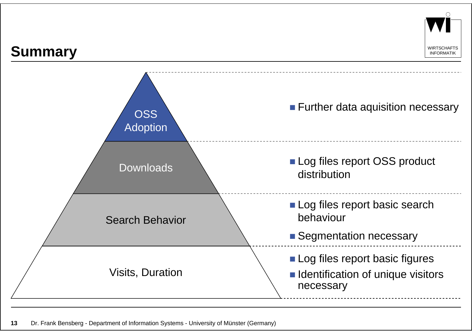

# Summary **Informative Summary**